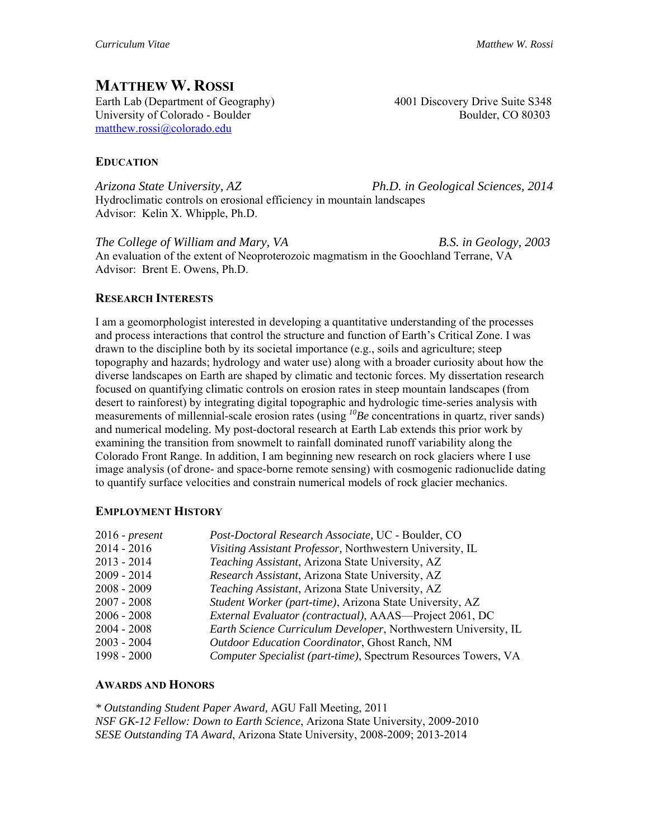# **MATTHEW W. ROSSI**

Earth Lab (Department of Geography) 4001 Discovery Drive Suite S348 University of Colorado - Boulder Boulder Boulder Boulder, CO 80303 matthew.rossi@colorado.edu

## **EDUCATION**

*Arizona State University, AZ Ph.D. in Geological Sciences, 2014* Hydroclimatic controls on erosional efficiency in mountain landscapes Advisor: Kelin X. Whipple, Ph.D.

*The College of William and Mary, VA**B.S. in Geology, 2003* An evaluation of the extent of Neoproterozoic magmatism in the Goochland Terrane, VA Advisor: Brent E. Owens, Ph.D.

### **RESEARCH INTERESTS**

I am a geomorphologist interested in developing a quantitative understanding of the processes and process interactions that control the structure and function of Earth's Critical Zone. I was drawn to the discipline both by its societal importance (e.g., soils and agriculture; steep topography and hazards; hydrology and water use) along with a broader curiosity about how the diverse landscapes on Earth are shaped by climatic and tectonic forces. My dissertation research focused on quantifying climatic controls on erosion rates in steep mountain landscapes (from desert to rainforest) by integrating digital topographic and hydrologic time-series analysis with measurements of millennial-scale erosion rates (using *10Be* concentrations in quartz, river sands) and numerical modeling. My post-doctoral research at Earth Lab extends this prior work by examining the transition from snowmelt to rainfall dominated runoff variability along the Colorado Front Range. In addition, I am beginning new research on rock glaciers where I use image analysis (of drone- and space-borne remote sensing) with cosmogenic radionuclide dating to quantify surface velocities and constrain numerical models of rock glacier mechanics.

#### **EMPLOYMENT HISTORY**

| 2016 - <i>present</i> | Post-Doctoral Research Associate, UC - Boulder, CO              |
|-----------------------|-----------------------------------------------------------------|
| 2014 - 2016           | Visiting Assistant Professor, Northwestern University, IL       |
| 2013 - 2014           | Teaching Assistant, Arizona State University, AZ                |
| 2009 - 2014           | Research Assistant, Arizona State University, AZ                |
| 2008 - 2009           | Teaching Assistant, Arizona State University, AZ                |
| 2007 - 2008           | Student Worker (part-time), Arizona State University, AZ        |
| 2006 - 2008           | External Evaluator (contractual), AAAS-Project 2061, DC         |
| 2004 - 2008           | Earth Science Curriculum Developer, Northwestern University, IL |
| 2003 - 2004           | Outdoor Education Coordinator, Ghost Ranch, NM                  |
| 1998 - 2000           | Computer Specialist (part-time), Spectrum Resources Towers, VA  |

#### **AWARDS AND HONORS**

*\* Outstanding Student Paper Award,* AGU Fall Meeting, 2011 *NSF GK-12 Fellow: Down to Earth Science*, Arizona State University, 2009-2010 *SESE Outstanding TA Award*, Arizona State University, 2008-2009; 2013-2014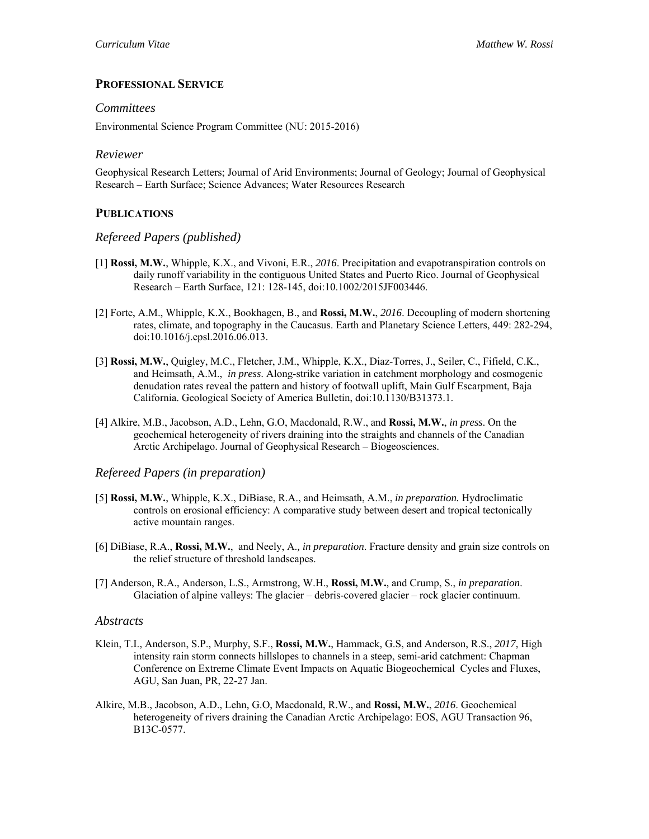## **PROFESSIONAL SERVICE**

#### *Committees*

Environmental Science Program Committee (NU: 2015-2016)

#### *Reviewer*

Geophysical Research Letters; Journal of Arid Environments; Journal of Geology; Journal of Geophysical Research – Earth Surface; Science Advances; Water Resources Research

## **PUBLICATIONS**

#### *Refereed Papers (published)*

- [1] **Rossi, M.W.**, Whipple, K.X., and Vivoni, E.R., *2016*. Precipitation and evapotranspiration controls on daily runoff variability in the contiguous United States and Puerto Rico. Journal of Geophysical Research – Earth Surface, 121: 128-145, doi:10.1002/2015JF003446.
- [2] Forte, A.M., Whipple, K.X., Bookhagen, B., and **Rossi, M.W.**, *2016*. Decoupling of modern shortening rates, climate, and topography in the Caucasus. Earth and Planetary Science Letters, 449: 282-294, doi:10.1016/j.epsl.2016.06.013.
- [3] **Rossi, M.W.**, Quigley, M.C., Fletcher, J.M., Whipple, K.X., Diaz-Torres, J., Seiler, C., Fifield, C.K., and Heimsath, A.M., *in press*. Along-strike variation in catchment morphology and cosmogenic denudation rates reveal the pattern and history of footwall uplift, Main Gulf Escarpment, Baja California. Geological Society of America Bulletin, doi:10.1130/B31373.1.
- [4] Alkire, M.B., Jacobson, A.D., Lehn, G.O, Macdonald, R.W., and **Rossi, M.W.**, *in press*. On the geochemical heterogeneity of rivers draining into the straights and channels of the Canadian Arctic Archipelago. Journal of Geophysical Research – Biogeosciences.

#### *Refereed Papers (in preparation)*

- [5] **Rossi, M.W.**, Whipple, K.X., DiBiase, R.A., and Heimsath, A.M., *in preparation.* Hydroclimatic controls on erosional efficiency: A comparative study between desert and tropical tectonically active mountain ranges.
- [6] DiBiase, R.A., **Rossi, M.W.**, and Neely, A.*, in preparation*. Fracture density and grain size controls on the relief structure of threshold landscapes.
- [7] Anderson, R.A., Anderson, L.S., Armstrong, W.H., **Rossi, M.W.**, and Crump, S., *in preparation*. Glaciation of alpine valleys: The glacier – debris-covered glacier – rock glacier continuum.

#### *Abstracts*

- Klein, T.I., Anderson, S.P., Murphy, S.F., **Rossi, M.W.**, Hammack, G.S, and Anderson, R.S., *2017*, High intensity rain storm connects hillslopes to channels in a steep, semi-arid catchment: Chapman Conference on Extreme Climate Event Impacts on Aquatic Biogeochemical Cycles and Fluxes, AGU, San Juan, PR, 22-27 Jan.
- Alkire, M.B., Jacobson, A.D., Lehn, G.O, Macdonald, R.W., and **Rossi, M.W.**, *2016*. Geochemical heterogeneity of rivers draining the Canadian Arctic Archipelago: EOS, AGU Transaction 96, B13C-0577.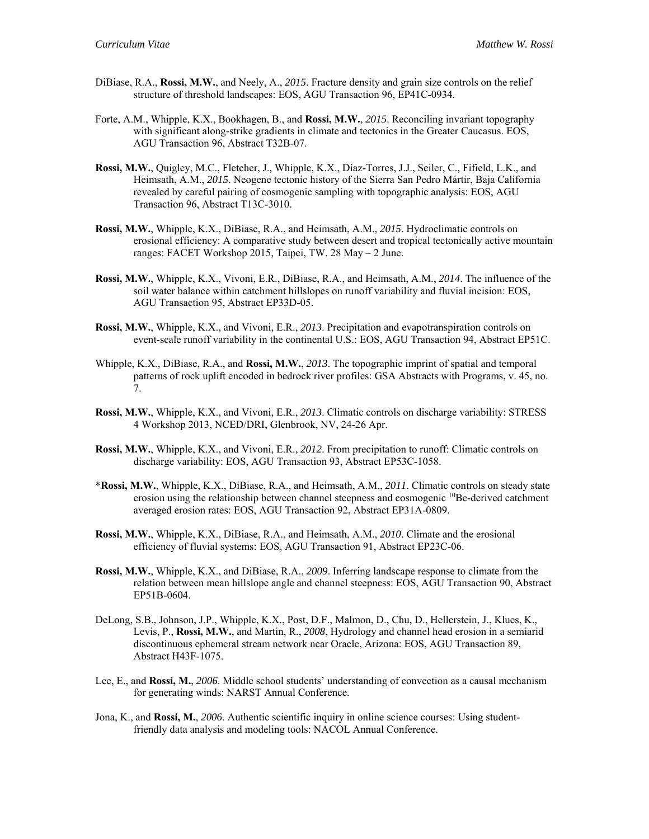- DiBiase, R.A., **Rossi, M.W.**, and Neely, A., *2015*. Fracture density and grain size controls on the relief structure of threshold landscapes: EOS, AGU Transaction 96, EP41C-0934.
- Forte, A.M., Whipple, K.X., Bookhagen, B., and **Rossi, M.W.**, *2015*. Reconciling invariant topography with significant along-strike gradients in climate and tectonics in the Greater Caucasus. EOS, AGU Transaction 96, Abstract T32B-07.
- **Rossi, M.W.**, Quigley, M.C., Fletcher, J., Whipple, K.X., Díaz-Torres, J.J., Seiler, C., Fifield, L.K., and Heimsath, A.M., *2015*. Neogene tectonic history of the Sierra San Pedro Mártir, Baja California revealed by careful pairing of cosmogenic sampling with topographic analysis: EOS, AGU Transaction 96, Abstract T13C-3010.
- **Rossi, M.W.**, Whipple, K.X., DiBiase, R.A., and Heimsath, A.M., *2015*. Hydroclimatic controls on erosional efficiency: A comparative study between desert and tropical tectonically active mountain ranges: FACET Workshop 2015, Taipei, TW. 28 May – 2 June.
- **Rossi, M.W.**, Whipple, K.X., Vivoni, E.R., DiBiase, R.A., and Heimsath, A.M., *2014*. The influence of the soil water balance within catchment hillslopes on runoff variability and fluvial incision: EOS, AGU Transaction 95, Abstract EP33D-05.
- **Rossi, M.W.**, Whipple, K.X., and Vivoni, E.R., *2013*. Precipitation and evapotranspiration controls on event-scale runoff variability in the continental U.S.: EOS, AGU Transaction 94, Abstract EP51C.
- Whipple, K.X., DiBiase, R.A., and **Rossi, M.W.**, *2013*. The topographic imprint of spatial and temporal patterns of rock uplift encoded in bedrock river profiles: GSA Abstracts with Programs, v. 45, no. 7.
- **Rossi, M.W.**, Whipple, K.X., and Vivoni, E.R., *2013*. Climatic controls on discharge variability: STRESS 4 Workshop 2013, NCED/DRI, Glenbrook, NV, 24-26 Apr.
- **Rossi, M.W.**, Whipple, K.X., and Vivoni, E.R., *2012*. From precipitation to runoff: Climatic controls on discharge variability: EOS, AGU Transaction 93, Abstract EP53C-1058.
- \***Rossi, M.W.**, Whipple, K.X., DiBiase, R.A., and Heimsath, A.M., *2011*. Climatic controls on steady state erosion using the relationship between channel steepness and cosmogenic <sup>10</sup>Be-derived catchment averaged erosion rates: EOS, AGU Transaction 92, Abstract EP31A-0809.
- **Rossi, M.W.**, Whipple, K.X., DiBiase, R.A., and Heimsath, A.M., *2010*. Climate and the erosional efficiency of fluvial systems: EOS, AGU Transaction 91, Abstract EP23C-06.
- **Rossi, M.W.**, Whipple, K.X., and DiBiase, R.A., *2009*. Inferring landscape response to climate from the relation between mean hillslope angle and channel steepness: EOS, AGU Transaction 90, Abstract EP51B-0604.
- DeLong, S.B., Johnson, J.P., Whipple, K.X., Post, D.F., Malmon, D., Chu, D., Hellerstein, J., Klues, K., Levis, P., **Rossi, M.W.**, and Martin, R., *2008*, Hydrology and channel head erosion in a semiarid discontinuous ephemeral stream network near Oracle, Arizona: EOS, AGU Transaction 89, Abstract H43F-1075.
- Lee, E., and **Rossi, M.**, *2006*. Middle school students' understanding of convection as a causal mechanism for generating winds: NARST Annual Conference.
- Jona, K., and **Rossi, M.**, *2006*. Authentic scientific inquiry in online science courses: Using studentfriendly data analysis and modeling tools: NACOL Annual Conference.